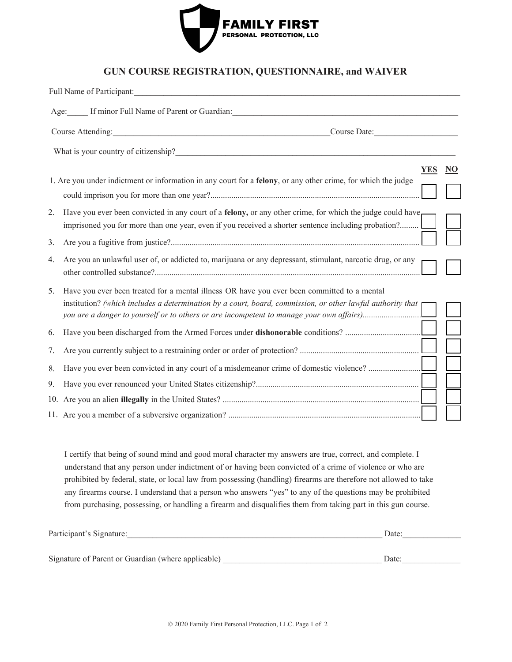

## **GUN COURSE REGISTRATION, QUESTIONNAIRE, and WAIVER**

|                                   | Full Name of Participant:                                                                                                                                                                                                                                                                               |    |
|-----------------------------------|---------------------------------------------------------------------------------------------------------------------------------------------------------------------------------------------------------------------------------------------------------------------------------------------------------|----|
|                                   | Age: If minor Full Name of Parent or Guardian:                                                                                                                                                                                                                                                          |    |
| Course Attending:<br>Course Date: |                                                                                                                                                                                                                                                                                                         |    |
|                                   | What is your country of citizenship?<br><u> 1980 - Jan Barbara, martin da kasar A</u>                                                                                                                                                                                                                   |    |
|                                   | <b>YES</b><br>1. Are you under indictment or information in any court for a felony, or any other crime, for which the judge                                                                                                                                                                             | NO |
| 2.                                | Have you ever been convicted in any court of a <b>felony</b> , or any other crime, for which the judge could have,<br>imprisoned you for more than one year, even if you received a shorter sentence including probation?                                                                               |    |
| 3.                                |                                                                                                                                                                                                                                                                                                         |    |
| 4.                                | Are you an unlawful user of, or addicted to, marijuana or any depressant, stimulant, narcotic drug, or any                                                                                                                                                                                              |    |
| 5.                                | Have you ever been treated for a mental illness OR have you ever been committed to a mental<br>institution? (which includes a determination by a court, board, commission, or other lawful authority that p<br>you are a danger to yourself or to others or are incompetent to manage your own affairs) |    |
| 6.                                |                                                                                                                                                                                                                                                                                                         |    |
| 7.                                |                                                                                                                                                                                                                                                                                                         |    |
| 8.                                | Have you ever been convicted in any court of a misdemeanor crime of domestic violence?                                                                                                                                                                                                                  |    |
| 9.                                |                                                                                                                                                                                                                                                                                                         |    |
|                                   |                                                                                                                                                                                                                                                                                                         |    |
|                                   |                                                                                                                                                                                                                                                                                                         |    |

I certify that being of sound mind and good moral character my answers are true, correct, and complete. I understand that any person under indictment of or having been convicted of a crime of violence or who are prohibited by federal, state, or local law from possessing (handling) firearms are therefore not allowed to take any firearms course. I understand that a person who answers "yes" to any of the questions may be prohibited from purchasing, possessing, or handling a firearm and disqualifies them from taking part in this gun course.

| Participant's Signature:                           | Date: |
|----------------------------------------------------|-------|
|                                                    |       |
| Signature of Parent or Guardian (where applicable) | Date: |